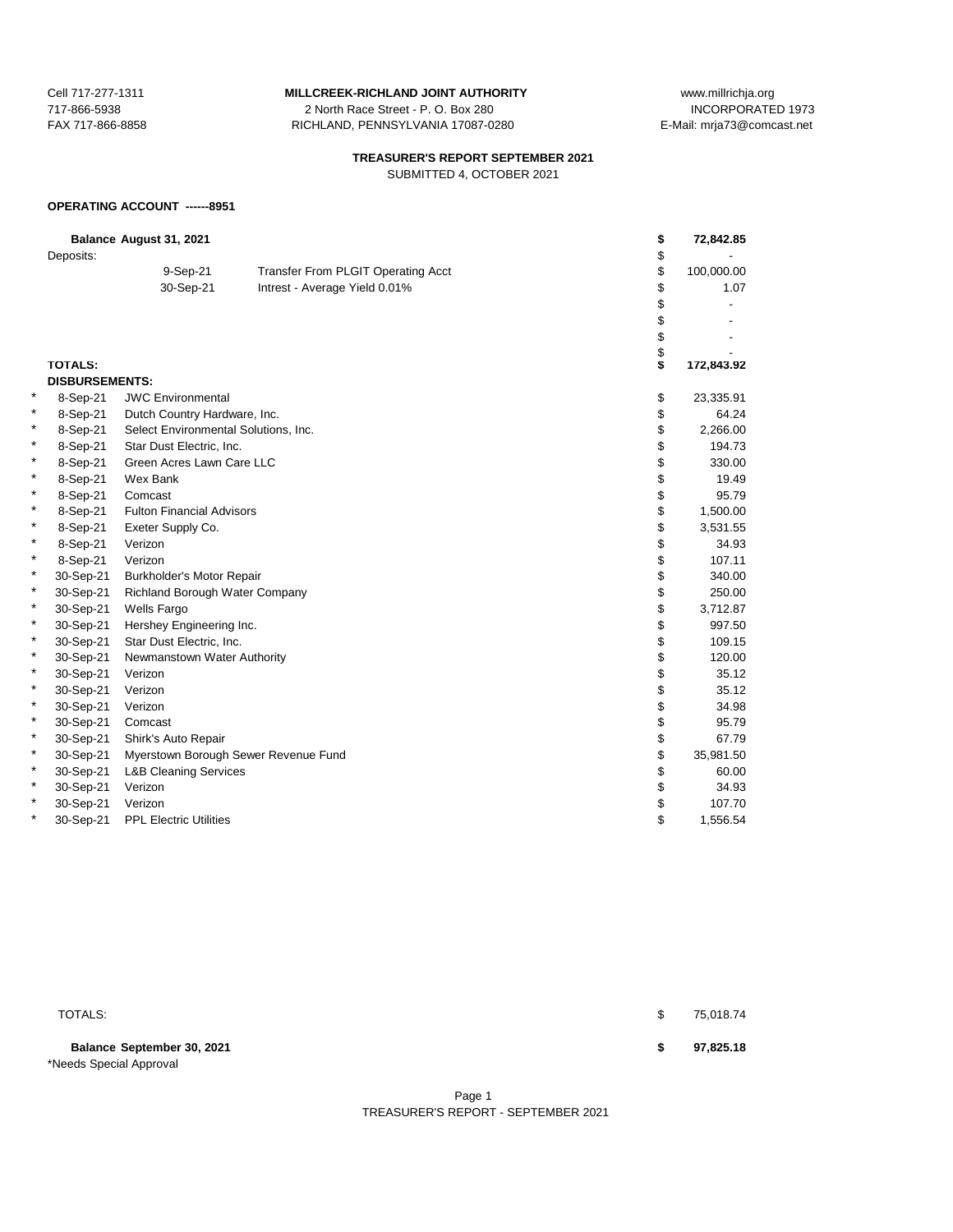717-866-5938 2 North Race Street - P. O. Box 280 FAX 717-866-8858 RICHLAND, PENNSYLVANIA 17087-0280 E-Mail: mrja73@comcast.net

Cell 717-277-1311 **MILLCREEK-RICHLAND JOINT AUTHORITY** www.millrichja.org<br>717-866-5938 1073 12 North Race Street - P. O. Box 280

# **TREASURER'S REPORT SEPTEMBER 2021**

SUBMITTED 4, OCTOBER 2021

# **OPERATING ACCOUNT ------8951**

|   | Deposits:             | Balance August 31, 2021              |                                           | \$<br>\$ | 72,842.85  |
|---|-----------------------|--------------------------------------|-------------------------------------------|----------|------------|
|   |                       |                                      | <b>Transfer From PLGIT Operating Acct</b> | \$       | 100,000.00 |
|   |                       | 9-Sep-21<br>30-Sep-21                |                                           | \$       | 1.07       |
|   |                       |                                      | Intrest - Average Yield 0.01%             | \$       |            |
|   |                       |                                      |                                           | \$       |            |
|   |                       |                                      |                                           | \$       |            |
|   |                       |                                      |                                           | \$       |            |
|   | <b>TOTALS:</b>        |                                      |                                           | S.       | 172,843.92 |
|   | <b>DISBURSEMENTS:</b> |                                      |                                           |          |            |
| × | 8-Sep-21              | <b>JWC Environmental</b>             |                                           | \$       | 23,335.91  |
| * | 8-Sep-21              | Dutch Country Hardware, Inc.         |                                           | \$       | 64.24      |
| * | 8-Sep-21              | Select Environmental Solutions, Inc. |                                           | \$       | 2,266.00   |
| * | 8-Sep-21              | Star Dust Electric, Inc.             |                                           | \$       | 194.73     |
| * | 8-Sep-21              | Green Acres Lawn Care LLC            |                                           | \$       | 330.00     |
| * | 8-Sep-21              | Wex Bank                             |                                           | \$       | 19.49      |
| * | 8-Sep-21              | Comcast                              |                                           | \$       | 95.79      |
| * | 8-Sep-21              | <b>Fulton Financial Advisors</b>     |                                           | \$       | 1,500.00   |
| * | 8-Sep-21              | Exeter Supply Co.                    |                                           | \$       | 3,531.55   |
| * | 8-Sep-21              | Verizon                              |                                           | \$       | 34.93      |
| * | 8-Sep-21              | Verizon                              |                                           | \$       | 107.11     |
| * | 30-Sep-21             | Burkholder's Motor Repair            |                                           | \$       | 340.00     |
| * | 30-Sep-21             | Richland Borough Water Company       |                                           | \$       | 250.00     |
| * | 30-Sep-21             | Wells Fargo                          |                                           | \$       | 3,712.87   |
| * | 30-Sep-21             | Hershey Engineering Inc.             |                                           | \$       | 997.50     |
| * | 30-Sep-21             | Star Dust Electric, Inc.             |                                           | \$       | 109.15     |
| * | 30-Sep-21             | Newmanstown Water Authority          |                                           | \$       | 120.00     |
| * | 30-Sep-21             | Verizon                              |                                           | \$       | 35.12      |
| * | 30-Sep-21             | Verizon                              |                                           | \$       | 35.12      |
| * | 30-Sep-21             | Verizon                              |                                           | \$       | 34.98      |
| * | 30-Sep-21             | Comcast                              |                                           | \$       | 95.79      |
| * | 30-Sep-21             | Shirk's Auto Repair                  |                                           | \$       | 67.79      |
| * | 30-Sep-21             | Myerstown Borough Sewer Revenue Fund |                                           | \$       | 35,981.50  |
| * | 30-Sep-21             | <b>L&amp;B Cleaning Services</b>     |                                           | \$       | 60.00      |
| * | 30-Sep-21             | Verizon                              |                                           | \$       | 34.93      |
| * | 30-Sep-21             | Verizon                              |                                           | \$       | 107.70     |
| * | 30-Sep-21             | <b>PPL Electric Utilities</b>        |                                           | \$       | 1,556.54   |
|   |                       |                                      |                                           |          |            |

**Balance September 30, 2021 \$ 97,825.18** \*Needs Special Approval

 $\texttt{TOTALS:}\quad$  to the contract of the contract of the contract of the contract of the contract of the contract of the contract of the contract of the contract of the contract of the contract of the contract of the contract o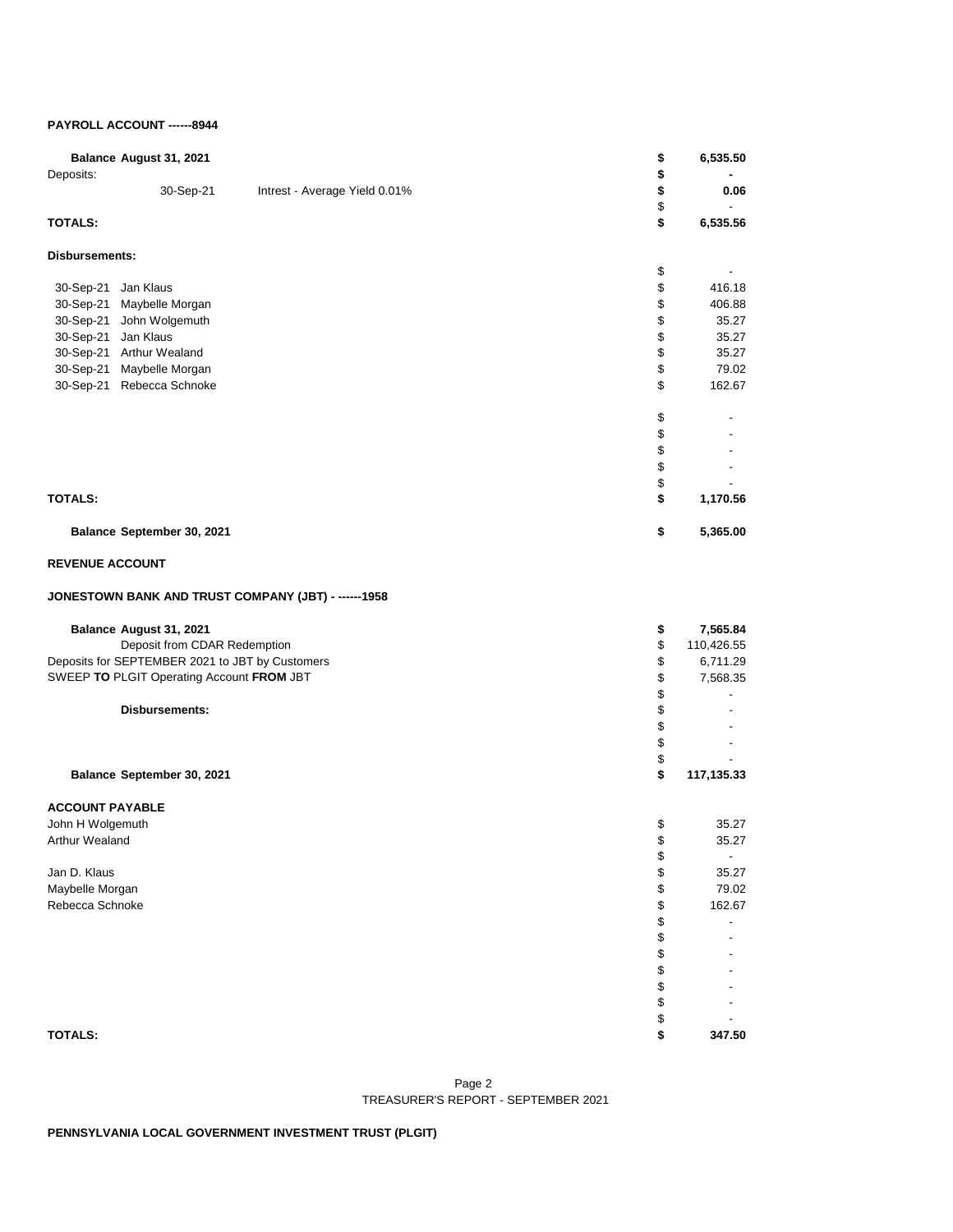# **PAYROLL ACCOUNT ------8944**

| Balance August 31, 2021<br>Deposits:                | \$<br>\$ | 6,535.50                 |
|-----------------------------------------------------|----------|--------------------------|
| 30-Sep-21<br>Intrest - Average Yield 0.01%          | \$<br>\$ | 0.06                     |
| <b>TOTALS:</b>                                      | \$       | 6,535.56                 |
| <b>Disbursements:</b>                               |          |                          |
|                                                     | \$       |                          |
| Jan Klaus<br>30-Sep-21<br>30-Sep-21 Maybelle Morgan | \$<br>\$ | 416.18<br>406.88         |
| 30-Sep-21<br>John Wolgemuth                         | \$       | 35.27                    |
| 30-Sep-21 Jan Klaus                                 | \$       | 35.27                    |
| 30-Sep-21 Arthur Wealand                            | \$       | 35.27                    |
| 30-Sep-21 Maybelle Morgan                           | \$       | 79.02                    |
| 30-Sep-21 Rebecca Schnoke                           | \$       | 162.67                   |
|                                                     | \$       |                          |
|                                                     | \$       |                          |
|                                                     | \$       |                          |
|                                                     | \$       |                          |
| <b>TOTALS:</b>                                      | \$<br>\$ | 1,170.56                 |
|                                                     |          |                          |
| Balance September 30, 2021                          | \$       | 5,365.00                 |
| <b>REVENUE ACCOUNT</b>                              |          |                          |
| JONESTOWN BANK AND TRUST COMPANY (JBT) - ------1958 |          |                          |
| Balance August 31, 2021                             | \$       | 7,565.84                 |
| Deposit from CDAR Redemption                        | \$       | 110,426.55               |
| Deposits for SEPTEMBER 2021 to JBT by Customers     | \$       | 6,711.29                 |
| SWEEP TO PLGIT Operating Account FROM JBT           | \$       | 7,568.35                 |
|                                                     | \$       | $\overline{\phantom{a}}$ |
| Disbursements:                                      | \$       |                          |
|                                                     | \$<br>\$ |                          |
|                                                     | \$       |                          |
| Balance September 30, 2021                          | \$       | 117,135.33               |
| <b>ACCOUNT PAYABLE</b>                              |          |                          |
| John H Wolgemuth                                    | \$       | 35.27                    |
| Arthur Wealand                                      | \$       | 35.27                    |
|                                                     | \$       | $\overline{\phantom{a}}$ |
| Jan D. Klaus                                        | \$       | 35.27                    |
| Maybelle Morgan                                     | \$       | 79.02                    |
| Rebecca Schnoke                                     | \$       | 162.67                   |
|                                                     | \$<br>\$ |                          |
|                                                     | \$       |                          |
|                                                     | \$       |                          |
|                                                     | \$       |                          |
|                                                     | \$       |                          |
|                                                     | \$       |                          |
| <b>TOTALS:</b>                                      | \$       | 347.50                   |